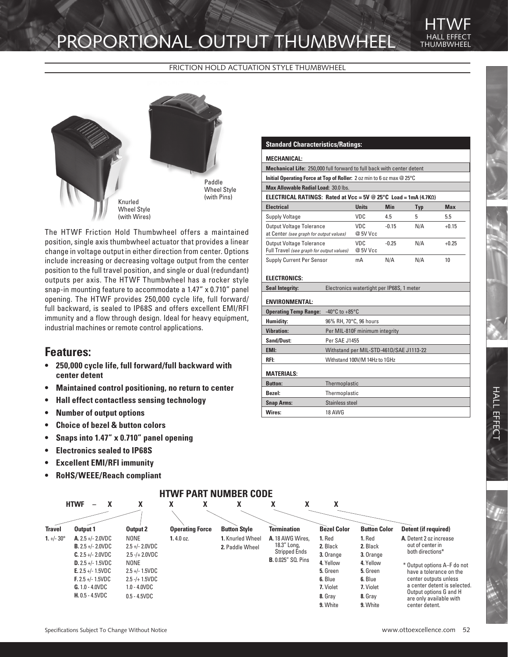# PROPORTIONAL OUTPUT THUMBWHEEL

THUMBWHEEL HTWF

FRICTION HOLD ACTUATION STYLE THUMBWHEEL



The HTWF Friction Hold Thumbwheel offers a maintained position, single axis thumbwheel actuator that provides a linear change in voltage output in either direction from center. Options include increasing or decreasing voltage output from the center position to the full travel position, and single or dual (redundant) outputs per axis. The HTWF Thumbwheel has a rocker style snap-in mounting feature to accommodate a 1.47" x 0.710" panel opening. The HTWF provides 250,000 cycle life, full forward/ full backward, is sealed to IP68S and offers excellent EMI/RFI immunity and a flow through design. Ideal for heavy equipment, industrial machines or remote control applications.

### **Features:**

- **• 250,000 cycle life, full forward/full backward with center detent**
- **• Maintained control positioning, no return to center**
- **• Hall effect contactless sensing technology**
- **• Number of output options**
- **• Choice of bezel & button colors**
- **• Snaps into 1.47" x 0.710" panel opening**
- **• Electronics sealed to IP68S**
- **• Excellent EMI/RFI immunity**
- **• RoHS/WEEE/Reach compliant**

### **Standard Characteristics/Ratings:**

#### **MECHANICAL:**

**Mechanical Life:** 250,000 full forward to full back with center detent

**Initial Operating Force at Top of Roller:** 2 oz min to 6 oz max @ 25°C

**Max Allowable Radial Load:** 30.0 lbs.

**ELECTRICAL RATINGS: Rated at Vcc = 5V @ 25°C Load = 1mA (4.7KΩ)**

| <b>Electrical</b>                                                            | <b>Units</b>    | <b>Min</b> | Typ | <b>Max</b> |
|------------------------------------------------------------------------------|-----------------|------------|-----|------------|
| <b>Supply Voltage</b>                                                        | VDC             | 4.5        | 5   | 5.5        |
| <b>Output Voltage Tolerance</b><br>at Center (see graph for output values)   | VDC<br>@ 5V Vcc | $-0.15$    | N/A | $+0.15$    |
| <b>Output Voltage Tolerance</b><br>Full Travel (see graph for output values) | VDC<br>@ 5V Vcc | $-0.25$    | N/A | $+0.25$    |
| Supply Current Per Sensor                                                    | mA              | N/A        | N/A | 10         |

#### **ELECTRONICS:**

| <b>Seal Integrity:</b> | Electronics watertight per IP68S, 1 meter |
|------------------------|-------------------------------------------|
|                        |                                           |

#### **ENVIRONMENTAL:**

| <b>Operating Temp Range:</b> | $-40^{\circ}$ C to $+85^{\circ}$ C      |  |  |
|------------------------------|-----------------------------------------|--|--|
| Humidity:                    | 96% RH, 70°C, 96 hours                  |  |  |
| <b>Vibration:</b>            | Per MIL-810F minimum integrity          |  |  |
| <b>Sand/Dust:</b>            | Per SAE J1455                           |  |  |
| EMI:                         | Withstand per MIL-STD-461D/SAE J1113-22 |  |  |
| RFI:                         | Withstand 100V/M 14Hz to 1GHz           |  |  |
| <b>MATERIALS:</b>            |                                         |  |  |
| <b>Button:</b>               | Thermoplastic                           |  |  |
| Bezel:                       | Thermoplastic                           |  |  |
| <b>Snap Arms:</b>            | Stainless steel                         |  |  |
| Wires:                       | <b>18 AWG</b>                           |  |  |
|                              |                                         |  |  |

|                     | <b>HTWF</b>                         | Λ                   | χ<br>χ                 | X                   | χ<br>χ                                                                                | X                                                 |                         |                                                      |                           |           |           |                             |
|---------------------|-------------------------------------|---------------------|------------------------|---------------------|---------------------------------------------------------------------------------------|---------------------------------------------------|-------------------------|------------------------------------------------------|---------------------------|-----------|-----------|-----------------------------|
|                     |                                     |                     |                        |                     |                                                                                       |                                                   |                         |                                                      |                           |           |           |                             |
| <b>Travel</b>       | Output 1                            | Output 2            | <b>Operating Force</b> | <b>Button Style</b> | <b>Termination</b>                                                                    | <b>Bezel Color</b>                                | <b>Button Color</b>     | Detent (if required)                                 |                           |           |           |                             |
| 1. $+/- 30^{\circ}$ | <b>A.</b> 2.5 +/- 2.0VDC            | NONE                | 1.4.0 oz.              | 1. Knurled Wheel    | A. 18 AWG Wires.                                                                      | 1. Red                                            | 1. Red                  | A. Detent 2 oz increase                              |                           |           |           |                             |
|                     | <b>B.</b> 2.5 +/- 2.0VDC            | $2.5 +/- 2.0$ VDC   |                        | 2. Paddle Wheel     | 18.3" Long,<br>2. Black<br>2. Black<br><b>Stripped Ends</b><br>3. Orange<br>3. Orange | out of center in                                  |                         |                                                      |                           |           |           |                             |
|                     | $C. 2.5 +/- 2.0 VDC$                | $2.5 - (+ 2.0 VDC)$ |                        |                     |                                                                                       | both directions*                                  |                         |                                                      |                           |           |           |                             |
|                     | <b>D.</b> 2.5 +/- 1.5VDC            | NONE                |                        |                     |                                                                                       |                                                   |                         |                                                      | <b>B.</b> 0.025" SQ. Pins | 4. Yellow | 4. Yellow | * Output options A-F do not |
|                     | <b>E.</b> 2.5 +/- 1.5VDC            | $2.5 +/- 1.5VDC$    |                        |                     |                                                                                       | 5. Green<br>5. Green                              | have a tolerance on the |                                                      |                           |           |           |                             |
|                     | <b>F.</b> 2.5 +/- 1.5VDC            | $2.5 - / + 1.5$ VDC |                        |                     |                                                                                       | 6. Blue                                           | 6. Blue                 | center outputs unless<br>a center detent is selected |                           |           |           |                             |
|                     | $G. 1.0 - 4.0 VDC$                  | $1.0 - 4.0$ VDC     |                        |                     |                                                                                       | 7. Violet                                         | 7. Violet               |                                                      |                           |           |           |                             |
|                     | $H. 0.5 - 4.5VDC$<br>$0.5 - 4.5VDC$ |                     |                        | 8. Gray             | 8. Gray                                                                               | Output options G and H<br>are only available with |                         |                                                      |                           |           |           |                             |
|                     |                                     |                     |                        |                     | 9. White                                                                              | 9. White                                          | center detent.          |                                                      |                           |           |           |                             |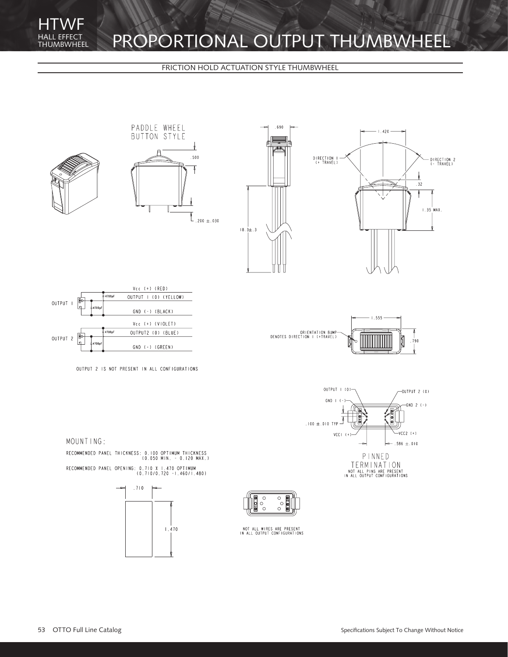## PROPORTIONAL OUTPUT THUMBWHEEL

FRICTION HOLD ACTUATION STYLE THUMBWHEEL



RECOMMENDED PANEL THICKNESS: 0.100 OPTIMUM THICKNESS<br>(0.050 MIN. - 0.120 MAX.) RECOMMENDED PANEL OPENING: 0.710 X 1.470 OPTIMUM<br>(0.710/0.720 -1.460/1.480)





NOT ALL WIRES ARE PRESENT<br>IN ALL OUTPUT CONFIGURATIONS

TERMINATION<br>NOT ALL PINS ARE PRESENT<br>IN ALL OUTPUT CONFIGURATIONS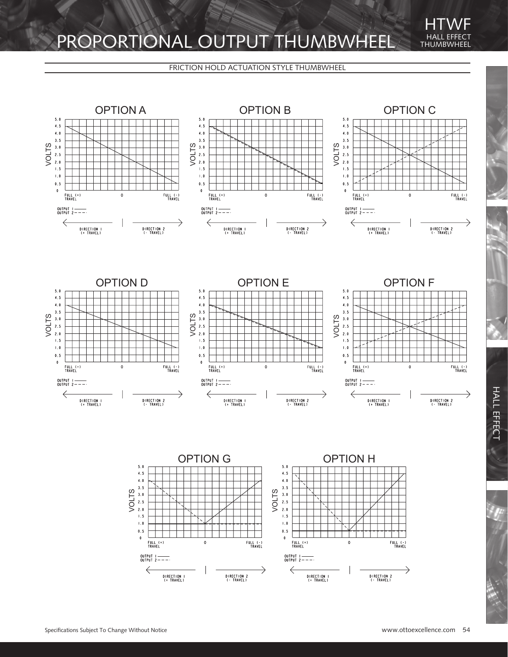## PROPORTIONAL OUTPUT THUMBWHEEL

### FRICTION HOLD ACTUATION STYLE THUMBWHEEL



DIRECTION |<br>(+ TRAVEL)

DIRECTION I<br>(+ TRAVEL)

DIRECTION 2<br>(- TRAVEL)

DIRECTION 2<br>(- TRAVEL)

THUMBWHEEL

HTWF